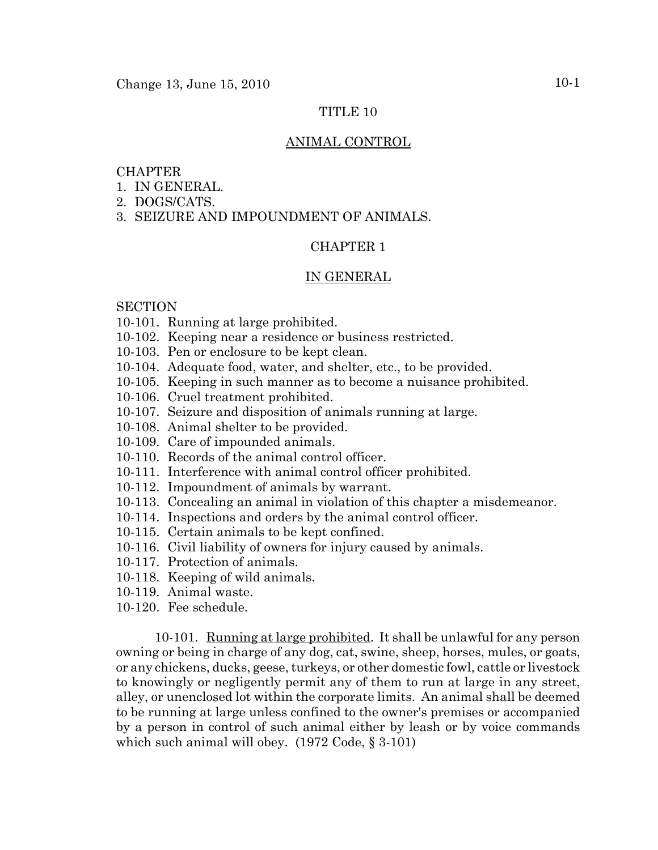# TITLE 10

# ANIMAL CONTROL

# CHAPTER

- 1. IN GENERAL.
- 2. DOGS/CATS.
- 3. SEIZURE AND IMPOUNDMENT OF ANIMALS.

## CHAPTER 1

### IN GENERAL

### **SECTION**

- 10-101. Running at large prohibited.
- 10-102. Keeping near a residence or business restricted.
- 10-103. Pen or enclosure to be kept clean.
- 10-104. Adequate food, water, and shelter, etc., to be provided.
- 10-105. Keeping in such manner as to become a nuisance prohibited.
- 10-106. Cruel treatment prohibited.
- 10-107. Seizure and disposition of animals running at large.
- 10-108. Animal shelter to be provided.
- 10-109. Care of impounded animals.
- 10-110. Records of the animal control officer.
- 10-111. Interference with animal control officer prohibited.
- 10-112. Impoundment of animals by warrant.
- 10-113. Concealing an animal in violation of this chapter a misdemeanor.
- 10-114. Inspections and orders by the animal control officer.
- 10-115. Certain animals to be kept confined.
- 10-116. Civil liability of owners for injury caused by animals.
- 10-117. Protection of animals.
- 10-118. Keeping of wild animals.
- 10-119. Animal waste.
- 10-120. Fee schedule.

10-101. Running at large prohibited. It shall be unlawful for any person owning or being in charge of any dog, cat, swine, sheep, horses, mules, or goats, or any chickens, ducks, geese, turkeys, or other domestic fowl, cattle or livestock to knowingly or negligently permit any of them to run at large in any street, alley, or unenclosed lot within the corporate limits. An animal shall be deemed to be running at large unless confined to the owner's premises or accompanied by a person in control of such animal either by leash or by voice commands which such animal will obey. (1972 Code, § 3-101)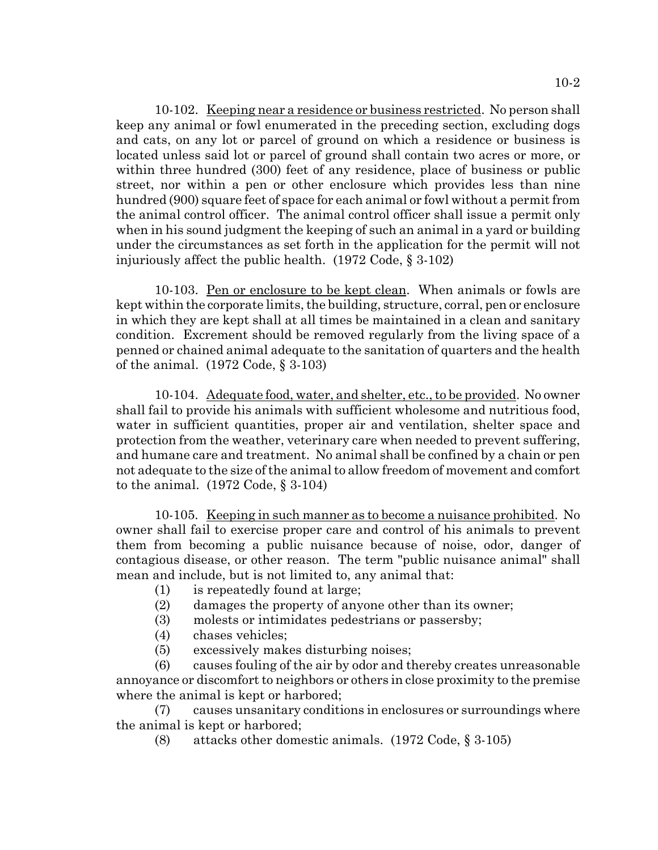10-102. Keeping near a residence or business restricted. No person shall keep any animal or fowl enumerated in the preceding section, excluding dogs and cats, on any lot or parcel of ground on which a residence or business is located unless said lot or parcel of ground shall contain two acres or more, or within three hundred (300) feet of any residence, place of business or public street, nor within a pen or other enclosure which provides less than nine hundred (900) square feet of space for each animal or fowl without a permit from the animal control officer. The animal control officer shall issue a permit only when in his sound judgment the keeping of such an animal in a yard or building under the circumstances as set forth in the application for the permit will not injuriously affect the public health. (1972 Code, § 3-102)

10-103. Pen or enclosure to be kept clean. When animals or fowls are kept within the corporate limits, the building, structure, corral, pen or enclosure in which they are kept shall at all times be maintained in a clean and sanitary condition. Excrement should be removed regularly from the living space of a penned or chained animal adequate to the sanitation of quarters and the health of the animal. (1972 Code, § 3-103)

10-104. Adequate food, water, and shelter, etc., to be provided. No owner shall fail to provide his animals with sufficient wholesome and nutritious food, water in sufficient quantities, proper air and ventilation, shelter space and protection from the weather, veterinary care when needed to prevent suffering, and humane care and treatment. No animal shall be confined by a chain or pen not adequate to the size of the animal to allow freedom of movement and comfort to the animal. (1972 Code, § 3-104)

10-105. Keeping in such manner as to become a nuisance prohibited. No owner shall fail to exercise proper care and control of his animals to prevent them from becoming a public nuisance because of noise, odor, danger of contagious disease, or other reason. The term "public nuisance animal" shall mean and include, but is not limited to, any animal that:

- (1) is repeatedly found at large;
- (2) damages the property of anyone other than its owner;
- (3) molests or intimidates pedestrians or passersby;
- (4) chases vehicles;
- (5) excessively makes disturbing noises;

(6) causes fouling of the air by odor and thereby creates unreasonable annoyance or discomfort to neighbors or others in close proximity to the premise where the animal is kept or harbored;

(7) causes unsanitary conditions in enclosures or surroundings where the animal is kept or harbored;

(8) attacks other domestic animals. (1972 Code, § 3-105)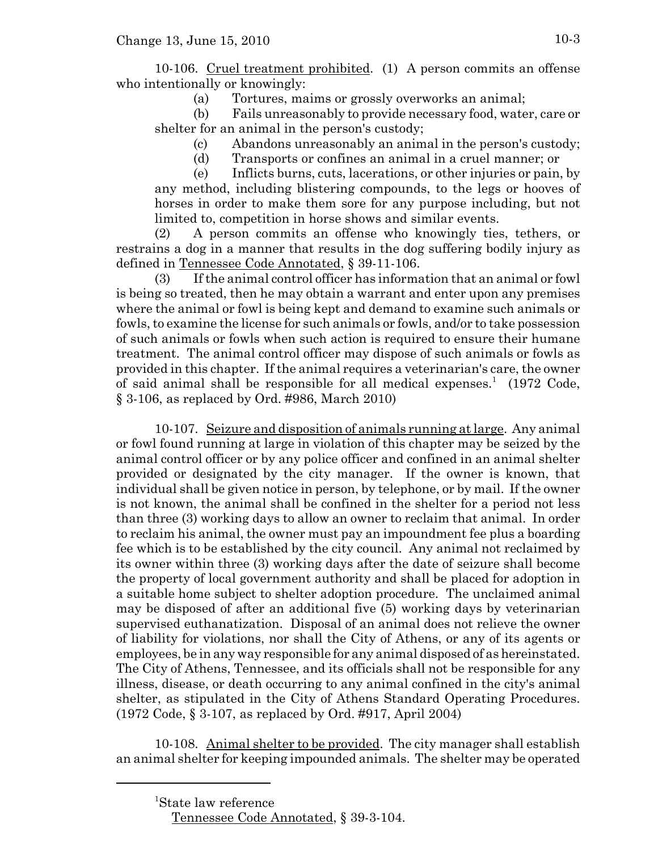10-106. Cruel treatment prohibited. (1) A person commits an offense who intentionally or knowingly:

(a) Tortures, maims or grossly overworks an animal;

(b) Fails unreasonably to provide necessary food, water, care or shelter for an animal in the person's custody;

(c) Abandons unreasonably an animal in the person's custody;

(d) Transports or confines an animal in a cruel manner; or

(e) Inflicts burns, cuts, lacerations, or other injuries or pain, by any method, including blistering compounds, to the legs or hooves of horses in order to make them sore for any purpose including, but not limited to, competition in horse shows and similar events.

(2) A person commits an offense who knowingly ties, tethers, or restrains a dog in a manner that results in the dog suffering bodily injury as defined in Tennessee Code Annotated, § 39-11-106.

(3) If the animal control officer has information that an animal or fowl is being so treated, then he may obtain a warrant and enter upon any premises where the animal or fowl is being kept and demand to examine such animals or fowls, to examine the license for such animals or fowls, and/or to take possession of such animals or fowls when such action is required to ensure their humane treatment. The animal control officer may dispose of such animals or fowls as provided in this chapter. If the animal requires a veterinarian's care, the owner of said animal shall be responsible for all medical expenses.<sup>1</sup> (1972 Code, § 3-106, as replaced by Ord. #986, March 2010)

10-107. Seizure and disposition of animals running at large. Any animal or fowl found running at large in violation of this chapter may be seized by the animal control officer or by any police officer and confined in an animal shelter provided or designated by the city manager. If the owner is known, that individual shall be given notice in person, by telephone, or by mail. If the owner is not known, the animal shall be confined in the shelter for a period not less than three (3) working days to allow an owner to reclaim that animal. In order to reclaim his animal, the owner must pay an impoundment fee plus a boarding fee which is to be established by the city council. Any animal not reclaimed by its owner within three (3) working days after the date of seizure shall become the property of local government authority and shall be placed for adoption in a suitable home subject to shelter adoption procedure. The unclaimed animal may be disposed of after an additional five (5) working days by veterinarian supervised euthanatization. Disposal of an animal does not relieve the owner of liability for violations, nor shall the City of Athens, or any of its agents or employees, be in any way responsible for any animal disposed of as hereinstated. The City of Athens, Tennessee, and its officials shall not be responsible for any illness, disease, or death occurring to any animal confined in the city's animal shelter, as stipulated in the City of Athens Standard Operating Procedures. (1972 Code, § 3-107, as replaced by Ord. #917, April 2004)

10-108. Animal shelter to be provided. The city manager shall establish an animal shelter for keeping impounded animals. The shelter may be operated

<sup>1</sup> State law reference

Tennessee Code Annotated, § 39-3-104.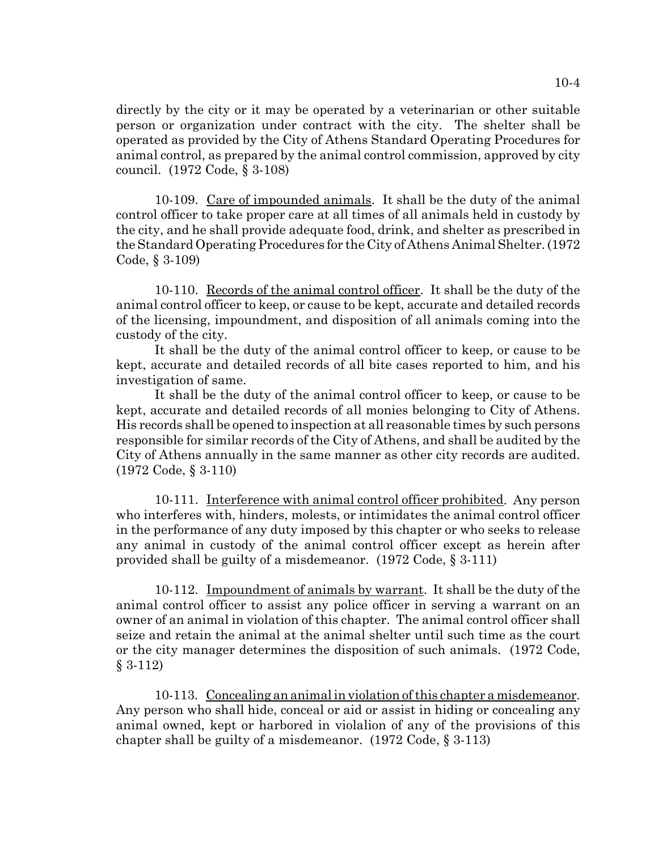directly by the city or it may be operated by a veterinarian or other suitable person or organization under contract with the city. The shelter shall be operated as provided by the City of Athens Standard Operating Procedures for animal control, as prepared by the animal control commission, approved by city council. (1972 Code, § 3-108)

10-109. Care of impounded animals. It shall be the duty of the animal control officer to take proper care at all times of all animals held in custody by the city, and he shall provide adequate food, drink, and shelter as prescribed in the Standard Operating Procedures for the City of Athens Animal Shelter. (1972 Code, § 3-109)

10-110. Records of the animal control officer. It shall be the duty of the animal control officer to keep, or cause to be kept, accurate and detailed records of the licensing, impoundment, and disposition of all animals coming into the custody of the city.

It shall be the duty of the animal control officer to keep, or cause to be kept, accurate and detailed records of all bite cases reported to him, and his investigation of same.

It shall be the duty of the animal control officer to keep, or cause to be kept, accurate and detailed records of all monies belonging to City of Athens. His records shall be opened to inspection at all reasonable times by such persons responsible for similar records of the City of Athens, and shall be audited by the City of Athens annually in the same manner as other city records are audited. (1972 Code, § 3-110)

10-111. Interference with animal control officer prohibited. Any person who interferes with, hinders, molests, or intimidates the animal control officer in the performance of any duty imposed by this chapter or who seeks to release any animal in custody of the animal control officer except as herein after provided shall be guilty of a misdemeanor. (1972 Code, § 3-111)

10-112. Impoundment of animals by warrant. It shall be the duty of the animal control officer to assist any police officer in serving a warrant on an owner of an animal in violation of this chapter. The animal control officer shall seize and retain the animal at the animal shelter until such time as the court or the city manager determines the disposition of such animals. (1972 Code, § 3-112)

10-113. Concealing an animal in violation of this chapter a misdemeanor. Any person who shall hide, conceal or aid or assist in hiding or concealing any animal owned, kept or harbored in violalion of any of the provisions of this chapter shall be guilty of a misdemeanor. (1972 Code, § 3-113)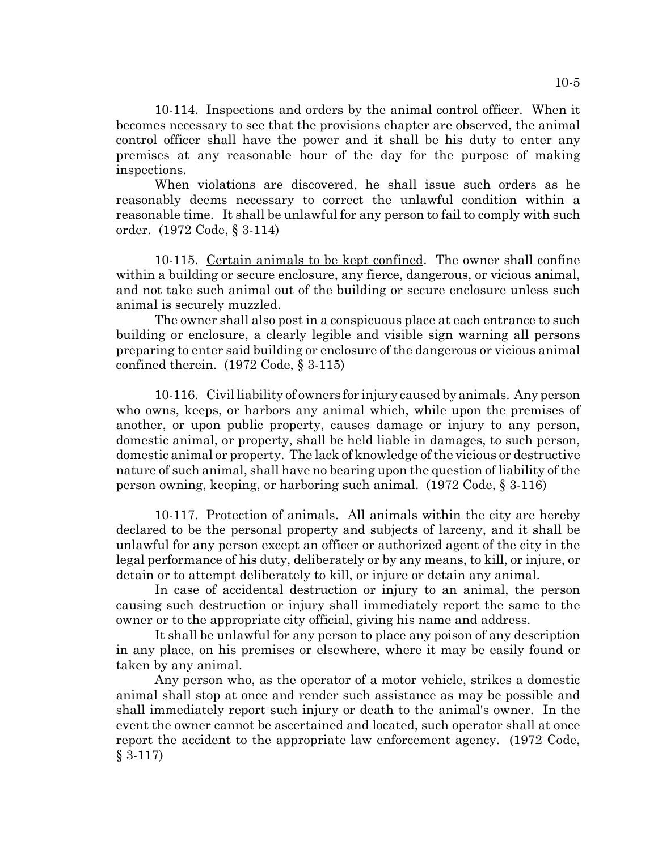10-114. Inspections and orders by the animal control officer. When it becomes necessary to see that the provisions chapter are observed, the animal control officer shall have the power and it shall be his duty to enter any premises at any reasonable hour of the day for the purpose of making inspections.

When violations are discovered, he shall issue such orders as he reasonably deems necessary to correct the unlawful condition within a reasonable time. It shall be unlawful for any person to fail to comply with such order. (1972 Code, § 3-114)

10-115. Certain animals to be kept confined. The owner shall confine within a building or secure enclosure, any fierce, dangerous, or vicious animal, and not take such animal out of the building or secure enclosure unless such animal is securely muzzled.

The owner shall also post in a conspicuous place at each entrance to such building or enclosure, a clearly legible and visible sign warning all persons preparing to enter said building or enclosure of the dangerous or vicious animal confined therein. (1972 Code, § 3-115)

10-116. Civil liability of owners for injury caused by animals. Any person who owns, keeps, or harbors any animal which, while upon the premises of another, or upon public property, causes damage or injury to any person, domestic animal, or property, shall be held liable in damages, to such person, domestic animal or property. The lack of knowledge of the vicious or destructive nature of such animal, shall have no bearing upon the question of liability of the person owning, keeping, or harboring such animal. (1972 Code, § 3-116)

10-117. Protection of animals. All animals within the city are hereby declared to be the personal property and subjects of larceny, and it shall be unlawful for any person except an officer or authorized agent of the city in the legal performance of his duty, deliberately or by any means, to kill, or injure, or detain or to attempt deliberately to kill, or injure or detain any animal.

In case of accidental destruction or injury to an animal, the person causing such destruction or injury shall immediately report the same to the owner or to the appropriate city official, giving his name and address.

It shall be unlawful for any person to place any poison of any description in any place, on his premises or elsewhere, where it may be easily found or taken by any animal.

Any person who, as the operator of a motor vehicle, strikes a domestic animal shall stop at once and render such assistance as may be possible and shall immediately report such injury or death to the animal's owner. In the event the owner cannot be ascertained and located, such operator shall at once report the accident to the appropriate law enforcement agency. (1972 Code, § 3-117)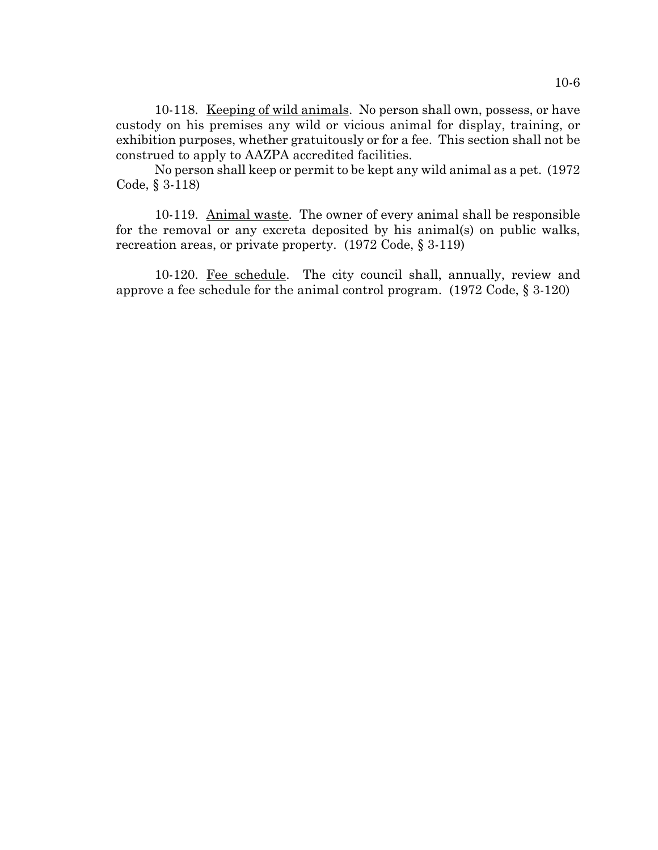10-118. Keeping of wild animals. No person shall own, possess, or have custody on his premises any wild or vicious animal for display, training, or exhibition purposes, whether gratuitously or for a fee. This section shall not be construed to apply to AAZPA accredited facilities.

No person shall keep or permit to be kept any wild animal as a pet. (1972 Code, § 3-118)

10-119. Animal waste. The owner of every animal shall be responsible for the removal or any excreta deposited by his animal(s) on public walks, recreation areas, or private property. (1972 Code, § 3-119)

10-120. Fee schedule. The city council shall, annually, review and approve a fee schedule for the animal control program. (1972 Code, § 3-120)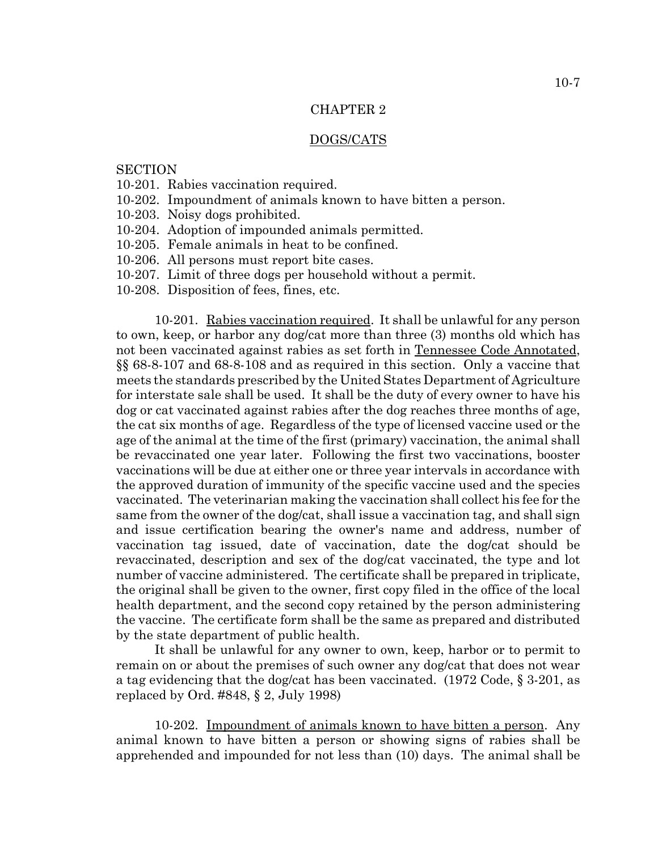#### CHAPTER 2

#### DOGS/CATS

### **SECTION**

- 10-201. Rabies vaccination required.
- 10-202. Impoundment of animals known to have bitten a person.
- 10-203. Noisy dogs prohibited.
- 10-204. Adoption of impounded animals permitted.
- 10-205. Female animals in heat to be confined.
- 10-206. All persons must report bite cases.
- 10-207. Limit of three dogs per household without a permit.
- 10-208. Disposition of fees, fines, etc.

10-201. Rabies vaccination required. It shall be unlawful for any person to own, keep, or harbor any dog/cat more than three (3) months old which has not been vaccinated against rabies as set forth in Tennessee Code Annotated, §§ 68-8-107 and 68-8-108 and as required in this section. Only a vaccine that meets the standards prescribed by the United States Department of Agriculture for interstate sale shall be used. It shall be the duty of every owner to have his dog or cat vaccinated against rabies after the dog reaches three months of age, the cat six months of age. Regardless of the type of licensed vaccine used or the age of the animal at the time of the first (primary) vaccination, the animal shall be revaccinated one year later. Following the first two vaccinations, booster vaccinations will be due at either one or three year intervals in accordance with the approved duration of immunity of the specific vaccine used and the species vaccinated. The veterinarian making the vaccination shall collect his fee for the same from the owner of the dog/cat, shall issue a vaccination tag, and shall sign and issue certification bearing the owner's name and address, number of vaccination tag issued, date of vaccination, date the dog/cat should be revaccinated, description and sex of the dog/cat vaccinated, the type and lot number of vaccine administered. The certificate shall be prepared in triplicate, the original shall be given to the owner, first copy filed in the office of the local health department, and the second copy retained by the person administering the vaccine. The certificate form shall be the same as prepared and distributed by the state department of public health.

It shall be unlawful for any owner to own, keep, harbor or to permit to remain on or about the premises of such owner any dog/cat that does not wear a tag evidencing that the dog/cat has been vaccinated. (1972 Code, § 3-201, as replaced by Ord. #848, § 2, July 1998)

10-202. Impoundment of animals known to have bitten a person. Any animal known to have bitten a person or showing signs of rabies shall be apprehended and impounded for not less than (10) days. The animal shall be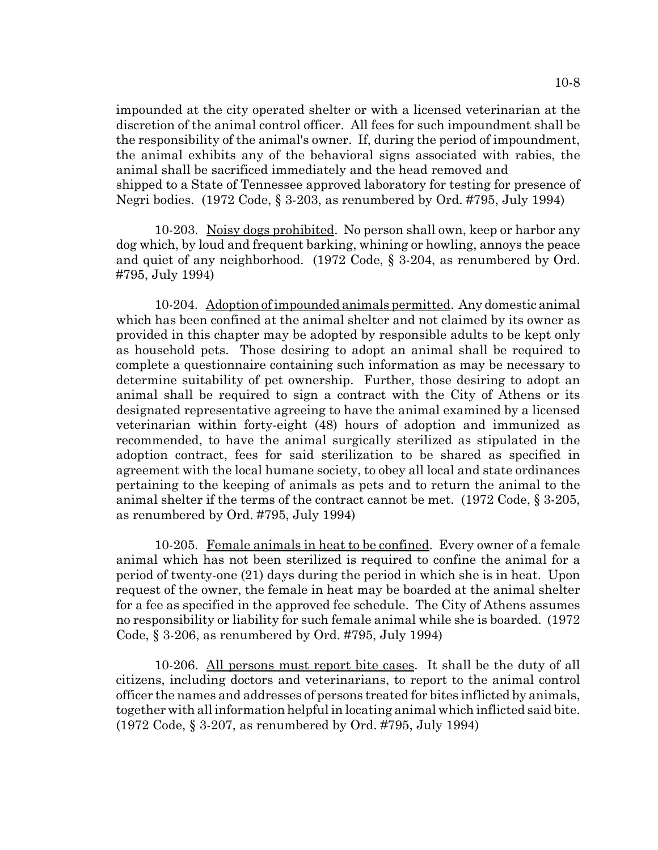impounded at the city operated shelter or with a licensed veterinarian at the discretion of the animal control officer. All fees for such impoundment shall be the responsibility of the animal's owner. If, during the period of impoundment, the animal exhibits any of the behavioral signs associated with rabies, the animal shall be sacrificed immediately and the head removed and shipped to a State of Tennessee approved laboratory for testing for presence of Negri bodies. (1972 Code, § 3-203, as renumbered by Ord. #795, July 1994)

10-203. Noisy dogs prohibited. No person shall own, keep or harbor any dog which, by loud and frequent barking, whining or howling, annoys the peace and quiet of any neighborhood. (1972 Code, § 3-204, as renumbered by Ord. #795, July 1994)

10-204. Adoption of impounded animals permitted. Any domestic animal which has been confined at the animal shelter and not claimed by its owner as provided in this chapter may be adopted by responsible adults to be kept only as household pets. Those desiring to adopt an animal shall be required to complete a questionnaire containing such information as may be necessary to determine suitability of pet ownership. Further, those desiring to adopt an animal shall be required to sign a contract with the City of Athens or its designated representative agreeing to have the animal examined by a licensed veterinarian within forty-eight (48) hours of adoption and immunized as recommended, to have the animal surgically sterilized as stipulated in the adoption contract, fees for said sterilization to be shared as specified in agreement with the local humane society, to obey all local and state ordinances pertaining to the keeping of animals as pets and to return the animal to the animal shelter if the terms of the contract cannot be met. (1972 Code, § 3-205, as renumbered by Ord. #795, July 1994)

10-205. Female animals in heat to be confined. Every owner of a female animal which has not been sterilized is required to confine the animal for a period of twenty-one (21) days during the period in which she is in heat. Upon request of the owner, the female in heat may be boarded at the animal shelter for a fee as specified in the approved fee schedule. The City of Athens assumes no responsibility or liability for such female animal while she is boarded. (1972 Code, § 3-206, as renumbered by Ord. #795, July 1994)

10-206. All persons must report bite cases. It shall be the duty of all citizens, including doctors and veterinarians, to report to the animal control officer the names and addresses of persons treated for bites inflicted by animals, together with all information helpful in locating animal which inflicted said bite. (1972 Code, § 3-207, as renumbered by Ord. #795, July 1994)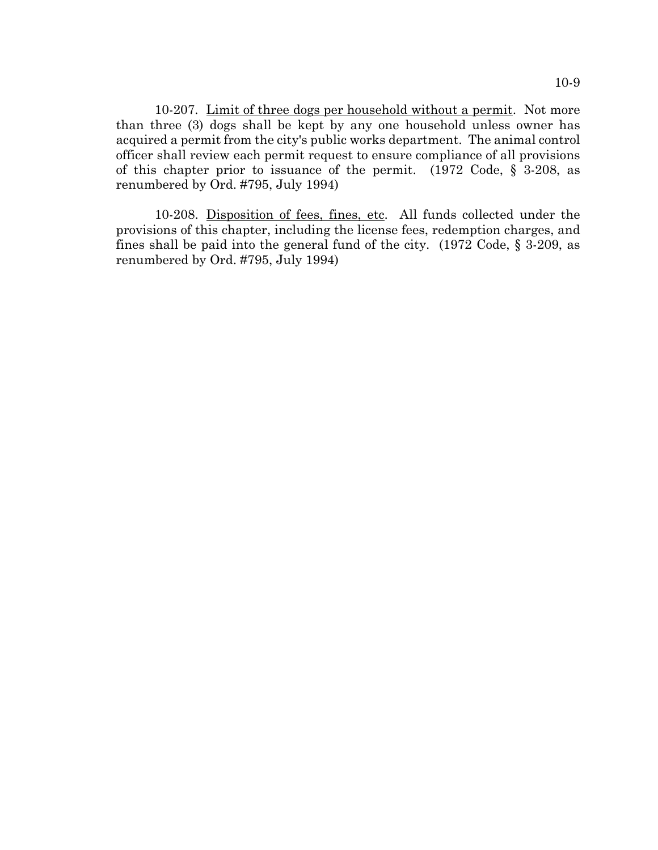10-207. Limit of three dogs per household without a permit. Not more than three (3) dogs shall be kept by any one household unless owner has acquired a permit from the city's public works department. The animal control officer shall review each permit request to ensure compliance of all provisions of this chapter prior to issuance of the permit. (1972 Code, § 3-208, as renumbered by Ord. #795, July 1994)

10-208. Disposition of fees, fines, etc. All funds collected under the provisions of this chapter, including the license fees, redemption charges, and fines shall be paid into the general fund of the city. (1972 Code, § 3-209, as renumbered by Ord. #795, July 1994)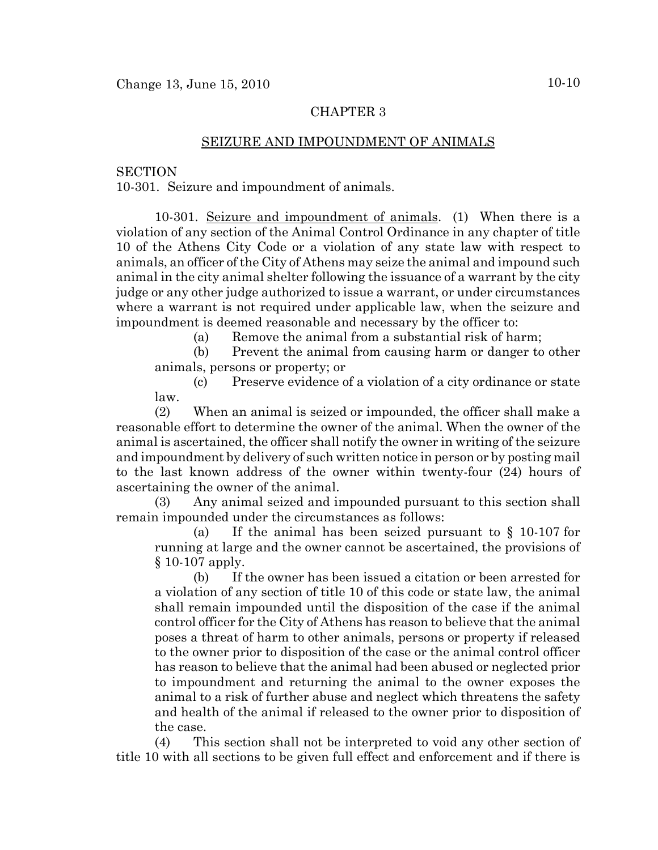# CHAPTER 3

## SEIZURE AND IMPOUNDMENT OF ANIMALS

### **SECTION**

10-301. Seizure and impoundment of animals.

10-301. Seizure and impoundment of animals. (1) When there is a violation of any section of the Animal Control Ordinance in any chapter of title 10 of the Athens City Code or a violation of any state law with respect to animals, an officer of the City of Athens may seize the animal and impound such animal in the city animal shelter following the issuance of a warrant by the city judge or any other judge authorized to issue a warrant, or under circumstances where a warrant is not required under applicable law, when the seizure and impoundment is deemed reasonable and necessary by the officer to:

(a) Remove the animal from a substantial risk of harm;

(b) Prevent the animal from causing harm or danger to other animals, persons or property; or

(c) Preserve evidence of a violation of a city ordinance or state law.

(2) When an animal is seized or impounded, the officer shall make a reasonable effort to determine the owner of the animal. When the owner of the animal is ascertained, the officer shall notify the owner in writing of the seizure and impoundment by delivery of such written notice in person or by posting mail to the last known address of the owner within twenty-four (24) hours of ascertaining the owner of the animal.

(3) Any animal seized and impounded pursuant to this section shall remain impounded under the circumstances as follows:

(a) If the animal has been seized pursuant to § 10-107 for running at large and the owner cannot be ascertained, the provisions of § 10-107 apply.

(b) If the owner has been issued a citation or been arrested for a violation of any section of title 10 of this code or state law, the animal shall remain impounded until the disposition of the case if the animal control officer for the City of Athens has reason to believe that the animal poses a threat of harm to other animals, persons or property if released to the owner prior to disposition of the case or the animal control officer has reason to believe that the animal had been abused or neglected prior to impoundment and returning the animal to the owner exposes the animal to a risk of further abuse and neglect which threatens the safety and health of the animal if released to the owner prior to disposition of the case.

(4) This section shall not be interpreted to void any other section of title 10 with all sections to be given full effect and enforcement and if there is